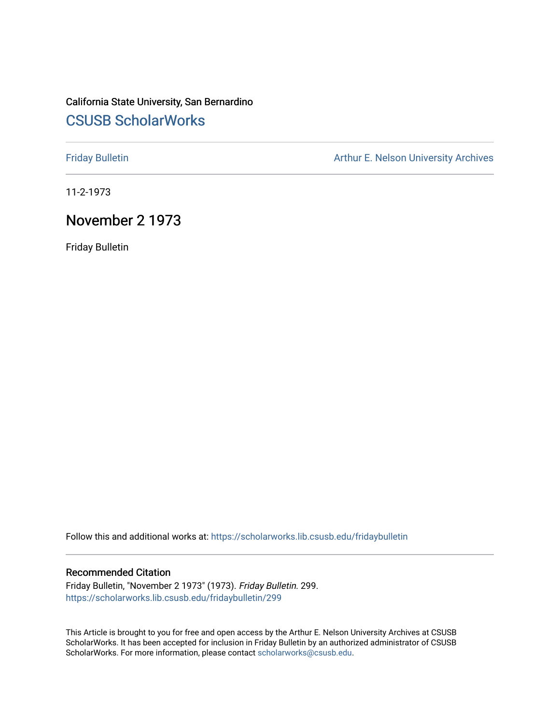# California State University, San Bernardino [CSUSB ScholarWorks](https://scholarworks.lib.csusb.edu/)

[Friday Bulletin](https://scholarworks.lib.csusb.edu/fridaybulletin) **Arthur E. Nelson University Archives** Arthur E. Nelson University Archives

11-2-1973

## November 2 1973

Friday Bulletin

Follow this and additional works at: [https://scholarworks.lib.csusb.edu/fridaybulletin](https://scholarworks.lib.csusb.edu/fridaybulletin?utm_source=scholarworks.lib.csusb.edu%2Ffridaybulletin%2F299&utm_medium=PDF&utm_campaign=PDFCoverPages)

### Recommended Citation

Friday Bulletin, "November 2 1973" (1973). Friday Bulletin. 299. [https://scholarworks.lib.csusb.edu/fridaybulletin/299](https://scholarworks.lib.csusb.edu/fridaybulletin/299?utm_source=scholarworks.lib.csusb.edu%2Ffridaybulletin%2F299&utm_medium=PDF&utm_campaign=PDFCoverPages)

This Article is brought to you for free and open access by the Arthur E. Nelson University Archives at CSUSB ScholarWorks. It has been accepted for inclusion in Friday Bulletin by an authorized administrator of CSUSB ScholarWorks. For more information, please contact [scholarworks@csusb.edu.](mailto:scholarworks@csusb.edu)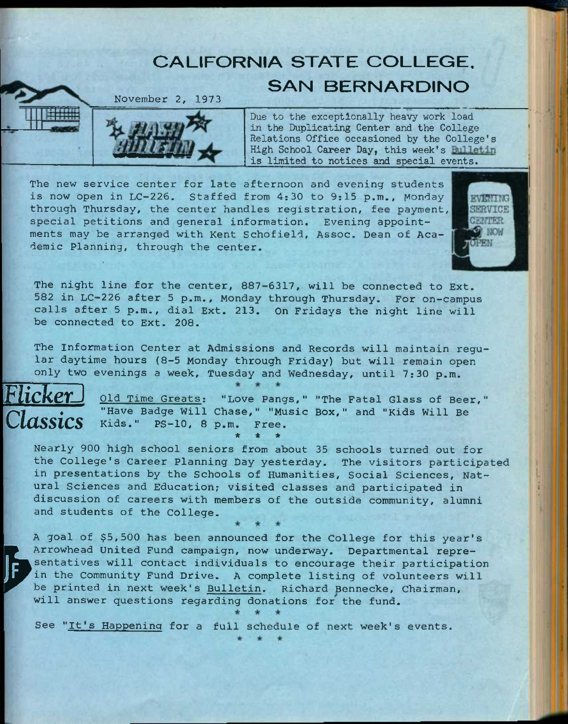# **CALIFORNIA STATE COLLEGE. SAN BERNARDINO**

November *2,* 1973



**Due to the exceptionally heavy work load in the Duplicating Center and the College Relations Office occasioned by the College's**  High School Career Day, this week's **Bulletin is limited to notices and special events.** 

The new service center for late afternoon and evening students is now open in LC-226, Staffed from 4:30 to 9:15 p.m., Monday through Thursday, the center handles registration, fee payment, special petitions and general information. Evening appointments may be arranged with Kent Schofield, Assoc. Dean of Academic Planning, through the center.



The night line for the center, 887-6317, will be connected to Ext. 582 in LC-226 after 5 p.m., Monday through Thursday. For on-campus calls after 5 p.m., dial Ext. 213. On Fridays the night line will be connected to Ext. 208.

The Information Center at Admissions and Records will maintain regular daytime hours (8-5 Monday through Friday) but will remain open only two evenings a week, Tuesday and Wednesday, until 7:30 p.m.



*FlickerJ* **old** Time Greats: "Love Pangs," "The Fatal Glass of Beer," "Have Badge Will Chase," "Music Box," and "Kids Will Be Kids." PS-10, 8 p.m. Free. *\* \* \** 

Nearly 900 high school seniors from about 35 schools turned out for the College's career Planning Day yesterday. The visitors participated in presentations by the Schools of Humanities, Social Sciences, Natural Sciences and Education; visited classes and participated in discussion of careers with members of the outside community, alumni and students of the College.

**P** sentati<br>
in the<br>
be prin<br>
will an A goal of \$5,500 has been announced for the College for this year's Arrowhead United Fund campaign, now underway. Departmental representatives will contact individuals to encourage their participation in the Community Fund Drive. A complete listing of volunteers will be printed in next week's Bulletin. Richard Bennecke, Chairman, will answer questions regarding donations for the fund.

See "It's Happening for a full schedule of next week's events.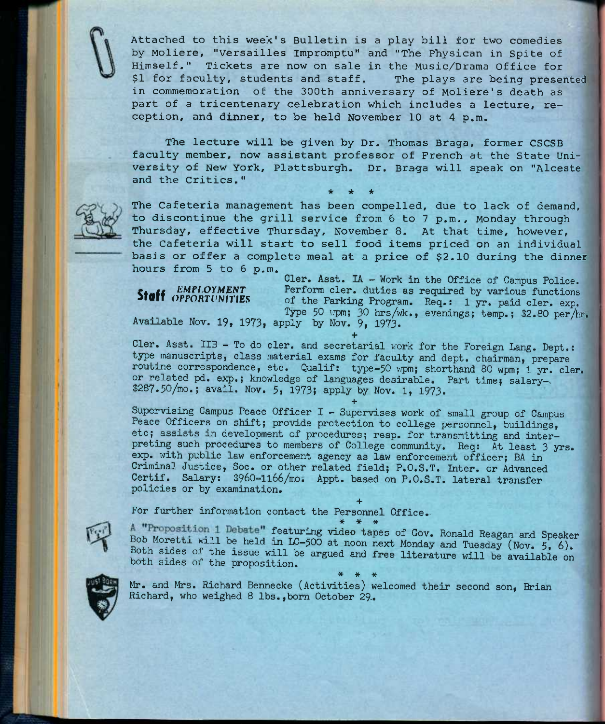Attached to this week's Bulletin is a play bill for two comedies by Moliere, "Versailles Impromptu" and "The Physican in Spite of Himself." Tickets are now on sale in the Music/Drama Office for \$1 for faculty, students and staff. The plays are being presented in commemoration of the 300th anniversary of Moliere's death as part of a tricentenary celebration which includes a lecture, reception, and dinner, to be held November 10 at 4 p.m.

The lecture will be given by Dr. Thomas Braga, former CSCSB faculty member, now assistant professor of French at the State University of New York, Plattsburgh. Dr. Braga will speak on "Alceste and the Critics,"

**\* \* \*** 



The Cafeteria management has been compelled, due to lack of demand, to discontinue the grill service from 6 to 7 p.m., Monday through Thursday, effective Thursday, November 8. At that time, however, the Cafeteria will start to sell food items priced on an individual basis or offer a complete meal at a price of \$2.10 during the dinner hours from 5 to 6 p.m.

*Staff <i>EMPLOYMENT* 

Cler. Asst. lA - Work in the Office of Campus Police. Perform cler. duties as required by various functions of the Parking Program. Req.: 1 yr. paid cler, exp. Type 50 wpm; 30 hrs/wk., evenings; temp.; \$2.80 per/hr. Available Nov. 19, 1973, apply by Nov. 9, 1973.

<sup>+</sup><br>Cler. Asst. IIB - To do cler. and secretarial work for the Foreign Lang. Dept.: type manuscripts, class material exams for faculty and dept. chairman, prepare routine correspondence, etc. Qualif: type-50 wpm; shorthand 80 wpm; 1 yr. cler. or related pd. exp.; knowledge of languages desirable. Part time; salary-. \$287.50/mo.; avail, Nov. 5, 1973; apply by Nov. 1, 1973.

**+**  Supervising Campus Peace Officer I - Supervises work of small group of Campus Peace Officers on shift; provide protection to college personnel, buildings, etc; assists in development of procedures; resp. for transmitting and interpreting such procedures to members of College community. Req: At least 3 yrs. exp. with public law enforcement agency as law enforcement officer; BA in Criminal Justice, Soc. or other related field; P.O.S.T. Inter, or Advanced Certif. Salary: \$960-1166/mo. Appt. based on P.O.S.T. lateral transfer policies or by examination.

**+**  For further information contact the Personnel Office.  $*$   $*$   $*$ 



featuring video tapes of Gov. Ronald Reagan and Speaker Bob Moretti will be held in  $LC-500$  at noon next Monday and Tuesday (Nov. 5, 6). Both sides of the issue will be argued and free literature will be available on both sides of the proposition.



**\* \* \***  Mr. and Mrs. Richard Bennecke (Activities) welcomed their second son, Brian Richard, who weighed 8 lbs., born October 29.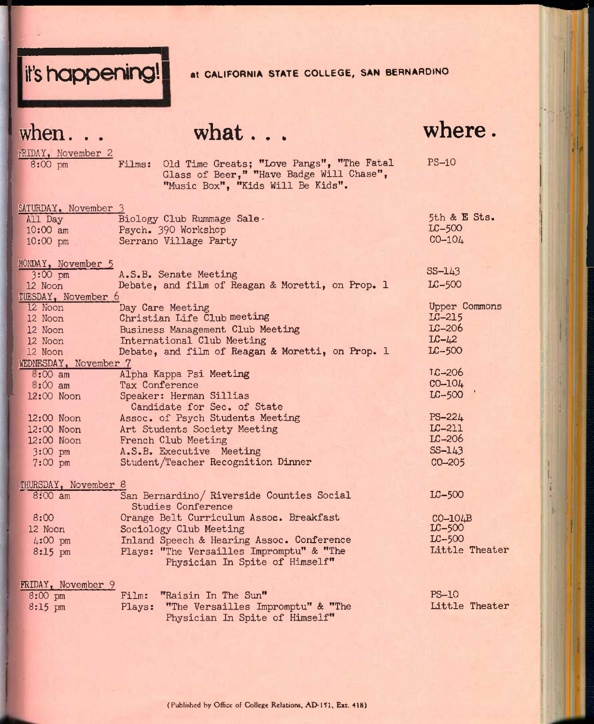

when.

**what. . .** 

**where.** 

 $\overline{50}$   $\overline{500}$ 

 $\frac{\text{FRIDAY}}{\text{8:00 cm}}$  Films: 8:00 pm Films: Old Time Greats; "Love Pangs", "The Fatal Glass of Beer," "Have Badge Will Chase", "Music Box", "Kids Will Be Kids". PS-IO SATURDAY, November 3 All Day Biology Club Rummage Sale-10:00 am Psych. 390 Workshop 10:00 pm Serrano Village Party MONDAY, November 5 3:00 pm 12 Noon TUESDAY, November 6 A.S.B, Senate Meeting Debate, and film of Reagan & Moretti, on Prop. 1 12 Noon 12 Noon 12 Noon 12 Noon 12 Noon WEDNESDAY, November 7 Day Care Meeting Christian Life Club meeting Business Management Club Meeting International Club Meeting Debate, and film of Reagan & Moretti, on Prop. 1  $8:00$  am  $8:00$  am Alpha Kappa Psi Meeting Tax Conference 5th & E Sts. LC-500 CO-104. SS-1A3 LC-500 Upper Commons LC-215 LC-206  $LC - 42$ LC-500 TC-206 CO-104

12 00 Noon 12:00 Noon 12:00 Noon 12:00 Noon 3:00 pm 7:00 pm Speaker: Herman Sillias Candidate for Sec. of State Assoc. of Psych Students Meeting Art Students Society Meeting French Club Meeting A.S.B. Executive Meeting Student/Teacher Recognition Dinner  $LC-500$ PS-22A LC-211 LC-206 SS-1A3 CO-205

# THURSDAY, November 8

| 8:00 am   | San Bernardino/ Riverside Counties Social<br>Studies Conference | $LC-500$       |
|-----------|-----------------------------------------------------------------|----------------|
| 8:00      | Orange Belt Curriculum Assoc. Breakfast                         | $CO-10$ $AB$   |
| 12 Noon   | Sociology Club Meeting                                          | $LC-500$       |
| $4:00$ pm | Inland Speech & Hearing Assoc. Conference                       | $LC-500$       |
| $8:15$ pm | Plays: "The Versailles Impromptu" & "The                        | Little Theater |
|           | Physician In Spite of Himself"                                  |                |

| FRIDAY, November 9 |                                          |                |
|--------------------|------------------------------------------|----------------|
| $8:00$ pm          | Film: "Raisin In The Sun"                | $PS-10$        |
| $8:15 \text{ pm}$  | Plays: "The Versailles Impromptu" & "The | Little Theater |
|                    | Physician In Spite of Himself"           |                |